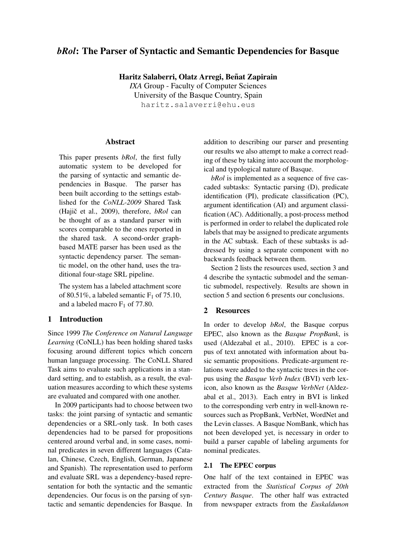# *bRol*: The Parser of Syntactic and Semantic Dependencies for Basque

Haritz Salaberri, Olatz Arregi, Beñat Zapirain

*IXA* Group - Faculty of Computer Sciences University of the Basque Country, Spain haritz.salaverri@ehu.eus

### Abstract

This paper presents *bRol*, the first fully automatic system to be developed for the parsing of syntactic and semantic dependencies in Basque. The parser has been built according to the settings established for the *CoNLL-2009* Shared Task (Hajič et al., 2009), therefore, *bRol* can be thought of as a standard parser with scores comparable to the ones reported in the shared task. A second-order graphbased MATE parser has been used as the syntactic dependency parser. The semantic model, on the other hand, uses the traditional four-stage SRL pipeline.

The system has a labeled attachment score of 80.51%, a labeled semantic  $F_1$  of 75.10, and a labeled macro  $F_1$  of 77.80.

# 1 Introduction

Since 1999 *The Conference on Natural Language Learning* (CoNLL) has been holding shared tasks focusing around different topics which concern human language processing. The CoNLL Shared Task aims to evaluate such applications in a standard setting, and to establish, as a result, the evaluation measures according to which these systems are evaluated and compared with one another.

In 2009 participants had to choose between two tasks: the joint parsing of syntactic and semantic dependencies or a SRL-only task. In both cases dependencies had to be parsed for propositions centered around verbal and, in some cases, nominal predicates in seven different languages (Catalan, Chinese, Czech, English, German, Japanese and Spanish). The representation used to perform and evaluate SRL was a dependency-based representation for both the syntactic and the semantic dependencies. Our focus is on the parsing of syntactic and semantic dependencies for Basque. In addition to describing our parser and presenting our results we also attempt to make a correct reading of these by taking into account the morphological and typological nature of Basque.

*bRol* is implemented as a sequence of five cascaded subtasks: Syntactic parsing (D), predicate identification (PI), predicate classification (PC), argument identification (AI) and argument classification (AC). Additionally, a post-process method is performed in order to relabel the duplicated role labels that may be assigned to predicate arguments in the AC subtask. Each of these subtasks is addressed by using a separate component with no backwards feedback between them.

Section 2 lists the resources used, section 3 and 4 describe the syntactic submodel and the semantic submodel, respectively. Results are shown in section 5 and section 6 presents our conclusions.

## 2 Resources

In order to develop *bRol*, the Basque corpus EPEC, also known as the *Basque PropBank*, is used (Aldezabal et al., 2010). EPEC is a corpus of text annotated with information about basic semantic propositions. Predicate-argument relations were added to the syntactic trees in the corpus using the *Basque Verb Index* (BVI) verb lexicon, also known as the *Basque VerbNet* (Aldezabal et al., 2013). Each entry in BVI is linked to the corresponding verb entry in well-known resources such as PropBank, VerbNet, WordNet and the Levin classes. A Basque NomBank, which has not been developed yet, is necessary in order to build a parser capable of labeling arguments for nominal predicates.

### 2.1 The EPEC corpus

One half of the text contained in EPEC was extracted from the *Statistical Corpus of 20th Century Basque*. The other half was extracted from newspaper extracts from the *Euskaldunon*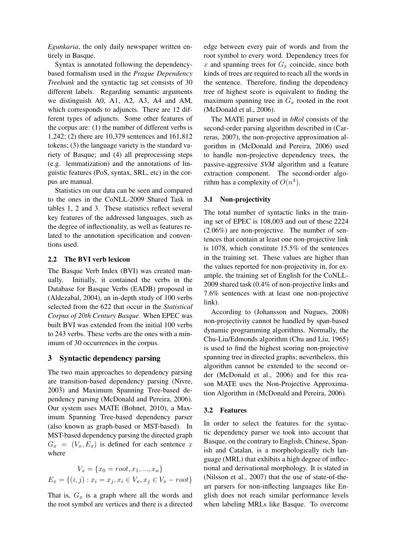*Egunkaria*, the only daily newspaper written entirely in Basque.

Syntax is annotated following the dependencybased formalism used in the *Prague Dependency Treebank* and the syntactic tag set consists of 30 different labels. Regarding semantic arguments we distinguish A0, A1, A2, A3, A4 and AM, which corresponds to adjuncts. There are 12 different types of adjuncts. Some other features of the corpus are: (1) the number of different verbs is 1,242; (2) there are 10,379 sentences and 161,812 tokens; (3) the language variety is the standard variety of Basque; and (4) all preprocessing steps (e.g. lemmatization) and the annotations of linguistic features (PoS, syntax, SRL, etc) in the corpus are manual.

Statistics on our data can be seen and compared to the ones in the CoNLL-2009 Shared Task in tables 1, 2 and 3. These statistics reflect several key features of the addressed languages, such as the degree of inflectionality, as well as features related to the annotation specification and conventions used.

### 2.2 The BVI verb lexicon

The Basque Verb Index (BVI) was created manually. Initially, it contained the verbs in the Database for Basque Verbs (EADB) proposed in (Aldezabal, 2004), an in-depth study of 100 verbs selected from the 622 that occur in the *Statistical Corpus of 20th Century Basque*. When EPEC was built BVI was extended from the initial 100 verbs to 243 verbs. These verbs are the ones with a minimum of 30 occurrences in the corpus.

# 3 Syntactic dependency parsing

The two main approaches to dependency parsing are transition-based dependency parsing (Nivre, 2003) and Maximum Spanning Tree-based dependency parsing (McDonald and Pereira, 2006). Our system uses MATE (Bohnet, 2010), a Maximum Spanning Tree-based dependency parser (also known as graph-based or MST-based). In MST-based dependency parsing the directed graph  $G_x = (V_x, E_x)$  is defined for each sentence x where

$$
V_x = \{x_0 = root, x_1, ..., x_n\}
$$

$$
E_x = \{(i, j) : x_i = x_j, x_i \in V_x, x_j \in V_x - root\}
$$

That is,  $G_x$  is a graph where all the words and the root symbol are vertices and there is a directed

edge between every pair of words and from the root symbol to every word. Dependency trees for  $x$  and spanning trees for  $G_x$  coincide, since both kinds of trees are required to reach all the words in the sentence. Therefore, finding the dependency tree of highest score is equivalent to finding the maximum spanning tree in  $G_x$  rooted in the root (McDonald et al., 2006).

The MATE parser used in *bRol* consists of the second-order parsing algorithm described in (Carreras, 2007), the non-projective approximation algorithm in (McDonald and Pereira, 2006) used to handle non-projective dependency trees, the passive-aggressive *SVM* algorithm and a feature extraction component. The second-order algorithm has a complexity of  $O(n^4)$ .

### 3.1 Non-projectivity

The total number of syntactic links in the training set of EPEC is 108,003 and out of these 2224 (2.06%) are non-projective. The number of sentences that contain at least one non-projective link is 1078, which constitute 15.5% of the sentences in the training set. These values are higher than the values reported for non-projectivity in, for example, the training set of English for the CoNLL-2009 shared task (0.4% of non-projective links and 7.6% sentences with at least one non-projective link).

According to (Johansson and Nugues, 2008) non-projectivity cannot be handled by span-based dynamic programming algorithms. Normally, the Chu-Liu/Edmonds algorithm (Chu and Liu, 1965) is used to find the highest scoring non-projective spanning tree in directed graphs; nevertheless, this algorithm cannot be extended to the second order (McDonald et al., 2006) and for this reason MATE uses the Non-Projective Approximation Algorithm in (McDonald and Pereira, 2006).

#### 3.2 Features

In order to select the features for the syntactic dependency parser we took into account that Basque, on the contrary to English, Chinese, Spanish and Catalan, is a morphologically rich language (MRL) that exhibits a high degree of inflectional and derivational morphology. It is stated in (Nilsson et al., 2007) that the use of state-of-theart parsers for non-inflecting languages like English does not reach similar performance levels when labeling MRLs like Basque. To overcome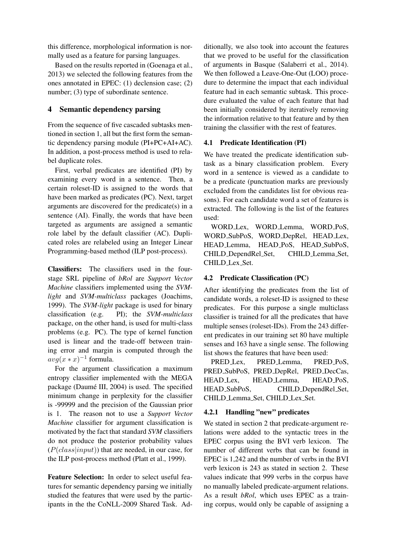this difference, morphological information is normally used as a feature for parsing languages.

Based on the results reported in (Goenaga et al., 2013) we selected the following features from the ones annotated in EPEC: (1) declension case; (2) number; (3) type of subordinate sentence.

# 4 Semantic dependency parsing

From the sequence of five cascaded subtasks mentioned in section 1, all but the first form the semantic dependency parsing module (PI+PC+AI+AC). In addition, a post-process method is used to relabel duplicate roles.

First, verbal predicates are identified (PI) by examining every word in a sentence. Then, a certain roleset-ID is assigned to the words that have been marked as predicates (PC). Next, target arguments are discovered for the predicate(s) in a sentence (AI). Finally, the words that have been targeted as arguments are assigned a semantic role label by the default classifier (AC). Duplicated roles are relabeled using an Integer Linear Programming-based method (ILP post-process).

Classifiers: The classifiers used in the fourstage SRL pipeline of *bRol* are *Support Vector Machine* classifiers implemented using the *SVMlight* and *SVM-multiclass* packages (Joachims, 1999). The *SVM-light* package is used for binary classification (e.g. PI); the *SVM-multiclass* package, on the other hand, is used for multi-class problems (e.g. PC). The type of kernel function used is linear and the trade-off between training error and margin is computed through the  $avg(x * x)^{-1}$  formula.

For the argument classification a maximum entropy classifier implemented with the MEGA package (Daumé III, 2004) is used. The specified minimum change in perplexity for the classifier is -99999 and the precision of the Gaussian prior is 1. The reason not to use a *Support Vector Machine* classifier for argument classification is motivated by the fact that standard *SVM* classifiers do not produce the posterior probability values  $(P(class|input))$  that are needed, in our case, for the ILP post-process method (Platt et al., 1999).

Feature Selection: In order to select useful features for semantic dependency parsing we initially studied the features that were used by the participants in the the CoNLL-2009 Shared Task. Ad-

ditionally, we also took into account the features that we proved to be useful for the classification of arguments in Basque (Salaberri et al., 2014). We then followed a Leave-One-Out (LOO) procedure to determine the impact that each individual feature had in each semantic subtask. This procedure evaluated the value of each feature that had been initially considered by iteratively removing the information relative to that feature and by then training the classifier with the rest of features.

### 4.1 Predicate Identification (PI)

We have treated the predicate identification subtask as a binary classification problem. Every word in a sentence is viewed as a candidate to be a predicate (punctuation marks are previously excluded from the candidates list for obvious reasons). For each candidate word a set of features is extracted. The following is the list of the features used:

WORD Lex, WORD Lemma, WORD PoS, WORD SubPoS, WORD DepRel, HEAD Lex, HEAD Lemma, HEAD PoS, HEAD SubPoS, CHILD DependRel Set, CHILD Lemma Set, CHILD Lex Set.

## 4.2 Predicate Classification (PC)

After identifying the predicates from the list of candidate words, a roleset-ID is assigned to these predicates. For this purpose a single multiclass classifier is trained for all the predicates that have multiple senses (roleset-IDs). From the 243 different predicates in our training set 80 have multiple senses and 163 have a single sense. The following list shows the features that have been used:

PRED Lex, PRED Lemma, PRED PoS, PRED SubPoS, PRED DepRel, PRED DecCas, HEAD Lex, HEAD Lemma, HEAD PoS, HEAD SubPoS, CHILD DependRel Set, CHILD Lemma Set, CHILD Lex Set.

# 4.2.1 Handling "new" predicates

We stated in section 2 that predicate-argument relations were added to the syntactic trees in the EPEC corpus using the BVI verb lexicon. The number of different verbs that can be found in EPEC is 1,242 and the number of verbs in the BVI verb lexicon is 243 as stated in section 2. These values indicate that 999 verbs in the corpus have no manually labeled predicate-argument relations. As a result *bRol*, which uses EPEC as a training corpus, would only be capable of assigning a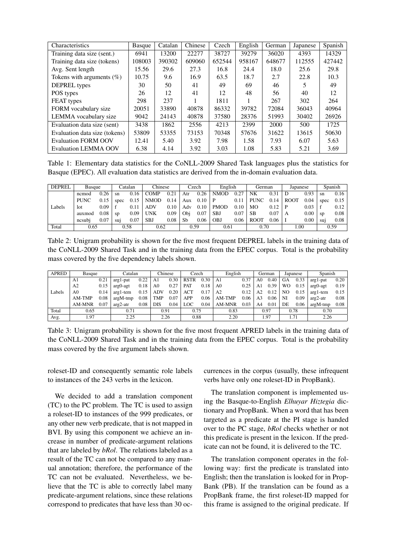| Characteristics               | Basque | Catalan | Chinese | Czech  | English | German | Japanese | Spanish |
|-------------------------------|--------|---------|---------|--------|---------|--------|----------|---------|
| Training data size (sent.)    | 6941   | 13200   | 22277   | 38727  | 39279   | 36020  | 4393     | 14329   |
| Training data size (tokens)   | 108003 | 390302  | 609060  | 652544 | 958167  | 648677 | 112555   | 427442  |
| Avg. Sent length              | 15.56  | 29.6    | 27.3    | 16.8   | 24.4    | 18.0   | 25.6     | 29.8    |
| Tokens with arguments $(\%)$  | 10.75  | 9.6     | 16.9    | 63.5   | 18.7    | 2.7    | 22.8     | 10.3    |
| <b>DEPREL</b> types           | 30     | 50      | 41      | 49     | 69      | 46     |          | 49      |
| POS types                     | 26     | 12      | 41      | 12     | 48      | 56     | 40       | 12      |
| FEAT types                    | 298    | 237     |         | 1811   |         | 267    | 302      | 264     |
| FORM vocabulary size          | 20051  | 33890   | 40878   | 86332  | 39782   | 72084  | 36043    | 40964   |
| LEMMA vocabulary size         | 9042   | 24143   | 40878   | 37580  | 28376   | 51993  | 30402    | 26926   |
| Evaluation data size (sent)   | 3438   | 1862    | 2556    | 4213   | 2399    | 2000   | 500      | 1725    |
| Evaluation data size (tokens) | 53809  | 53355   | 73153   | 70348  | 57676   | 31622  | 13615    | 50630   |
| <b>Evaluation FORM OOV</b>    | 12.41  | 5.40    | 3.92    | 7.98   | 1.58    | 7.93   | 6.07     | 5.63    |
| <b>Evaluation LEMMA OOV</b>   | 6.38   | 4.14    | 3.92    | 3.03   | 1.08    | 5.83   | 5.21     | 3.69    |

Table 1: Elementary data statistics for the CoNLL-2009 Shared Task languages plus the statistics for Basque (EPEC). All evaluation data statistics are derived from the in-domain evaluation data.

| <b>DEPREL</b> | Basque      |      |      | Chinese<br>Catalan |             |      | Czech |      | English     |      | German      |      | Japanese    |          | Spanish       |      |
|---------------|-------------|------|------|--------------------|-------------|------|-------|------|-------------|------|-------------|------|-------------|----------|---------------|------|
|               | ncmod       | 0.26 | sn   | 0.16               | <b>COMP</b> | 0.21 | Atr   | 0.26 | <b>NMOD</b> | 0.27 | NK          | 0.31 | Ð           | 0.93     | sn            | 0.16 |
|               | <b>PUNC</b> | 0.15 | spec | 0.15               | NMOD        | 0.14 | Aux   | 0.10 | P           | 0.11 | <b>PUNC</b> | 0.14 | <b>ROOT</b> | 0.04     | spec          | 0.15 |
| Labels        | lot         | 0.09 |      | 0.11               | ADV         | 0.10 | Adv   | 0.10 | PMOD        | 0.10 | MО          | 0.12 | P           | 0.03     |               | 0.12 |
|               | auxmod      | 0.08 | sp   | 0.09               | UNK         | 0.09 | Obi   | 0.07 | <b>SBJ</b>  | 0.07 | SВ          | 0.07 | A           | $0.00\,$ | <sub>SD</sub> | 0.08 |
|               | ncsub       | 0.07 | sui  | 0.07               | <b>SBJ</b>  | 0.08 | Sb    | 0.06 | OBJ         | 0.06 | <b>ROOT</b> | 0.06 |             | 0.00     | sui           | 0.08 |
| Total         | 0.65        |      |      | 0.58               | 0.62        |      | 0.59  |      | 0.61        |      | 0.70        |      | 1.00        |          | 0.59          |      |

Table 2: Unigram probability is shown for the five most frequent DEPREL labels in the training data of the CoNLL-2009 Shared Task and in the training data from the EPEC corpus. Total is the probability mass covered by the five dependency labels shown.

| <b>APRED</b> | Basque         |      | Catalan      |      | Chinese        |      | Czech       |      | English        |      | German         |      | Japanese |      | Spanish      |      |
|--------------|----------------|------|--------------|------|----------------|------|-------------|------|----------------|------|----------------|------|----------|------|--------------|------|
|              | A1             | 0.21 | arg1-pat     | 0.22 | A1             | 0.30 | <b>RSTR</b> | 0.30 | A <sub>1</sub> | 0.37 | A <sub>0</sub> | 0.40 | GA       | 0.33 | arg1-pat     | 0.20 |
|              | A <sub>2</sub> | 0.15 | $arg0 - agt$ | 0.18 | A <sub>0</sub> | 0.27 | PAT         | 0.18 | A <sub>0</sub> | 0.25 | A1             | 0.39 | WO       | 0.15 | $arg0-agt$   | 0.19 |
| Labels       | A0             | 0.14 | $arg1$ -tem  | 0.15 | <b>ADV</b>     | 0.20 | ACT         | 0.17 | A <sub>2</sub> | 0.12 | A <sub>2</sub> | 0.12 | NO       | 0.15 | $arg1$ -tem  | 0.15 |
|              | AM-TMP         | 0.08 | $argM$ -tmp  | 0.08 | <b>TMP</b>     | 0.07 | APP         | 0.06 | AM-TMP         | 0.06 | A <sub>3</sub> | 0.06 | NI       | 0.09 | $arg2-atr$   | 0.08 |
|              | <b>AM-MNR</b>  | 0.07 | $arg2-atr$   | 0.08 | <b>DIS</b>     | 0.04 | LOC         | 0.04 | <b>AM-MNR</b>  | 0.03 | A4             | 0.01 | DE       | 0.06 | $argM - tmp$ | 0.08 |
| Total        | 0.65           |      | 0.71         |      | 0.91           |      | 0.75        |      | 0.83           |      |                | 0.97 |          | 0.78 | 0.70         |      |
| Avg.         | 1.97<br>2.25   |      | 2.26         |      | 0.88           |      | 2.20        |      | 1.97           |      | 1.71           |      | 2.26     |      |              |      |

Table 3: Unigram probability is shown for the five most frequent APRED labels in the training data of the CoNLL-2009 Shared Task and in the training data from the EPEC corpus. Total is the probability mass covered by the five argument labels shown.

roleset-ID and consequently semantic role labels to instances of the 243 verbs in the lexicon.

We decided to add a translation component (TC) to the PC problem. The TC is used to assign a roleset-ID to instances of the 999 predicates, or any other new verb predicate, that is not mapped in BVI. By using this component we achieve an increase in number of predicate-argument relations that are labeled by *bRol*. The relations labeled as a result of the TC can not be compared to any manual annotation; therefore, the performance of the TC can not be evaluated. Nevertheless, we believe that the TC is able to correctly label many predicate-argument relations, since these relations correspond to predicates that have less than 30 occurrences in the corpus (usually, these infrequent verbs have only one roleset-ID in PropBank).

The translation component is implemented using the Basque-to-English *Elhuyar Hiztegia* dictionary and PropBank. When a word that has been targeted as a predicate at the PI stage is handed over to the PC stage, *bRol* checks whether or not this predicate is present in the lexicon. If the predicate can not be found, it is delivered to the TC.

The translation component operates in the following way: first the predicate is translated into English; then the translation is looked for in Prop-Bank (PB). If the translation can be found as a PropBank frame, the first roleset-ID mapped for this frame is assigned to the original predicate. If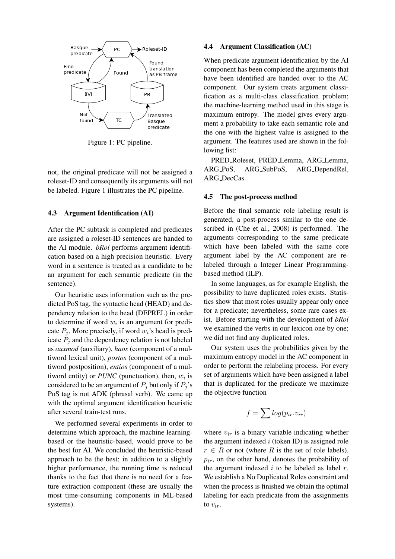

Figure 1: PC pipeline.

not, the original predicate will not be assigned a roleset-ID and consequently its arguments will not be labeled. Figure 1 illustrates the PC pipeline.

#### 4.3 Argument Identification (AI)

After the PC subtask is completed and predicates are assigned a roleset-ID sentences are handed to the AI module. *bRol* performs argument identification based on a high precision heuristic. Every word in a sentence is treated as a candidate to be an argument for each semantic predicate (in the sentence).

Our heuristic uses information such as the predicted PoS tag, the syntactic head (HEAD) and dependency relation to the head (DEPREL) in order to determine if word  $w_i$  is an argument for predicate  $P_i$ . More precisely, if word  $w_i$ 's head is predicate  $P_i$  and the dependency relation is not labeled as *auxmod* (auxiliary), *haos* (component of a multiword lexical unit), *postos* (component of a multiword postposition), *entios* (component of a multiword entity) or  $PUNC$  (punctuation), then,  $w_i$  is considered to be an argument of  $P_i$  but only if  $P_i$ 's PoS tag is not ADK (phrasal verb). We came up with the optimal argument identification heuristic after several train-test runs.

We performed several experiments in order to determine which approach, the machine learningbased or the heuristic-based, would prove to be the best for AI. We concluded the heuristic-based approach to be the best; in addition to a slightly higher performance, the running time is reduced thanks to the fact that there is no need for a feature extraction component (these are usually the most time-consuming components in ML-based systems).

#### 4.4 Argument Classification (AC)

When predicate argument identification by the AI component has been completed the arguments that have been identified are handed over to the AC component. Our system treats argument classification as a multi-class classification problem; the machine-learning method used in this stage is maximum entropy. The model gives every argument a probability to take each semantic role and the one with the highest value is assigned to the argument. The features used are shown in the following list:

PRED Roleset, PRED Lemma, ARG Lemma, ARG PoS, ARG SubPoS, ARG DependRel, ARG DecCas.

#### 4.5 The post-process method

Before the final semantic role labeling result is generated, a post-process similar to the one described in (Che et al., 2008) is performed. The arguments corresponding to the same predicate which have been labeled with the same core argument label by the AC component are relabeled through a Integer Linear Programmingbased method (ILP).

In some languages, as for example English, the possibility to have duplicated roles exists. Statistics show that most roles usually appear only once for a predicate; nevertheless, some rare cases exist. Before starting with the development of *bRol* we examined the verbs in our lexicon one by one; we did not find any duplicated roles.

Our system uses the probabilities given by the maximum entropy model in the AC component in order to perform the relabeling process. For every set of arguments which have been assigned a label that is duplicated for the predicate we maximize the objective function

$$
f = \sum log(p_{ir}.v_{ir})
$$

where  $v_{ir}$  is a binary variable indicating whether the argument indexed  $i$  (token ID) is assigned role  $r \in R$  or not (where R is the set of role labels).  $p_{ir}$ , on the other hand, denotes the probability of the argument indexed  $i$  to be labeled as label  $r$ . We establish a No Duplicated Roles constraint and when the process is finished we obtain the optimal labeling for each predicate from the assignments to  $v_{ir}$ .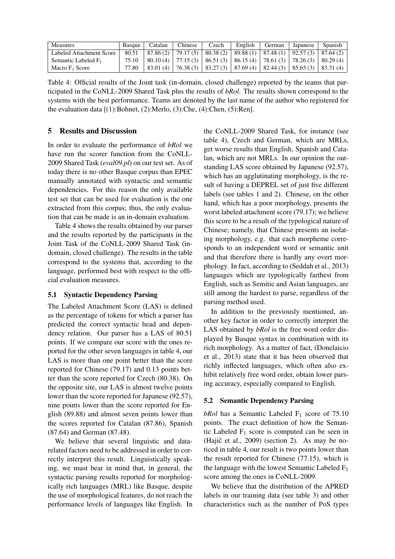| <b>Measures</b>            | <b>Basque</b> | Catalan    | Chinese                          | Czech | English  | German | Japanese                                                      | Spanish   |
|----------------------------|---------------|------------|----------------------------------|-------|----------|--------|---------------------------------------------------------------|-----------|
| Labeled Attachment Score   | 80.51         |            | $87.86(2)$   79.17(5)   80.38(2) |       |          |        | $\vert$ 89.88 (1) $\vert$ 87.48 (1) $\vert$ 92.57 (3) $\vert$ | 87.64(2)  |
| Semantic Labeled $F_1$     | 75.10         |            | $80.10(4)$   77.15(3)   86.51(3) |       | 86.15(4) |        | 78.61 (3)   78.26 (3)                                         | 80.29(4)  |
| Macro F <sub>1</sub> Score | 77.80         | $83.01(4)$ | $176.38(3)$ 83.27(3)             |       | 87.69(4) |        | $\vert$ 82.44 (3) $\vert$ 85.65 (3) $\vert$                   | 83.31 (4) |

Table 4: Official results of the Joint task (in-domain, closed challenge) reported by the teams that participated in the CoNLL-2009 Shared Task plus the results of *bRol*. The results shown correspond to the systems with the best performance. Teams are denoted by the last name of the author who registered for the evaluation data [(1):Bohnet, (2):Merlo, (3):Che, (4):Chen, (5):Ren].

### 5 Results and Discussion

In order to evaluate the performance of *bRol* we have run the scorer function from the CoNLL-2009 Shared Task (*eval09.pl*) on our test set. As of today there is no other Basque corpus than EPEC manually annotated with syntactic and semantic dependencies. For this reason the only available test set that can be used for evaluation is the one extracted from this corpus; thus, the only evaluation that can be made is an in-domain evaluation.

Table 4 shows the results obtained by our parser and the results reported by the participants in the Joint Task of the CoNLL-2009 Shared Task (indomain, closed challenge). The results in the table correspond to the systems that, according to the language, performed best with respect to the official evaluation measures.

#### 5.1 Syntactic Dependency Parsing

The Labeled Attachment Score (LAS) is defined as the percentage of tokens for which a parser has predicted the correct syntactic head and dependency relation. Our parser has a LAS of 80.51 points. If we compare our score with the ones reported for the other seven languages in table 4, our LAS is more than one point better than the score reported for Chinese (79.17) and 0.13 points better than the score reported for Czech (80.38). On the opposite site, our LAS is almost twelve points lower than the score reported for Japanese (92.57), nine points lower than the score reported for English (89.88) and almost seven points lower than the scores reported for Catalan (87.86), Spanish (87.64) and German (87.48).

We believe that several linguistic and datarelated factors need to be addressed in order to correctly interpret this result. Linguistically speaking, we must bear in mind that, in general, the syntactic parsing results reported for morphologically rich languages (MRL) like Basque, despite the use of morphological features, do not reach the performance levels of languages like English. In the CoNLL-2009 Shared Task, for instance (see table 4), Czech and German, which are MRLs, get worse results than English, Spanish and Catalan, which are not MRLs. In our opinion the outstanding LAS score obtained by Japanese (92.57), which has an agglutinating morphology, is the result of having a DEPREL set of just five different labels (see tables 1 and 2). Chinese, on the other hand, which has a poor morphology, presents the worst labeled attachment score (79.17); we believe this score to be a result of the typological nature of Chinese; namely, that Chinese presents an isolating morphology, e.g. that each morpheme corresponds to an independent word or semantic unit and that therefore there is hardly any overt morphology. In fact, according to (Seddah et al., 2013) languages which are typologically farthest from English, such as Semitic and Asian languages, are still among the hardest to parse, regardless of the parsing method used.

In addition to the previously mentioned, another key factor in order to correctly interpret the LAS obtained by *bRol* is the free word order displayed by Basque syntax in combination with its rich morphology. As a matter of fact, (Donelaicio et al., 2013) state that it has been observed that richly inflected languages, which often also exhibit relatively free word order, obtain lower parsing accuracy, especially compared to English.

#### 5.2 Semantic Dependency Parsing

*bRol* has a Semantic Labeled  $F_1$  score of 75.10 points. The exact definition of how the Semantic Labeled  $F_1$  score is computed can be seen in (Hajič et al.,  $2009$ ) (section 2). As may be noticed in table 4, our result is two points lower than the result reported for Chinese (77.15), which is the language with the lowest Semantic Labeled  $F_1$ score among the ones in CoNLL-2009.

We believe that the distribution of the APRED labels in our training data (see table 3) and other characteristics such as the number of PoS types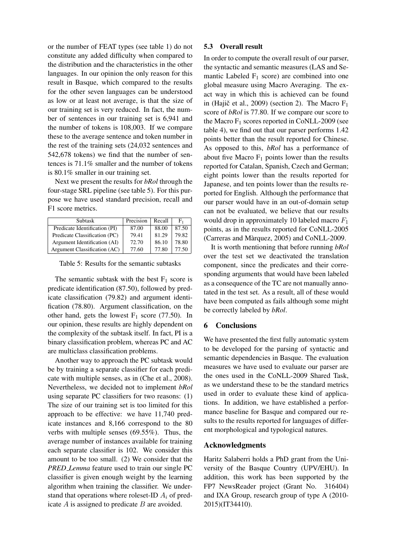or the number of FEAT types (see table 1) do not constitute any added difficulty when compared to the distribution and the characteristics in the other languages. In our opinion the only reason for this result in Basque, which compared to the results for the other seven languages can be understood as low or at least not average, is that the size of our training set is very reduced. In fact, the number of sentences in our training set is 6,941 and the number of tokens is 108,003. If we compare these to the average sentence and token number in the rest of the training sets (24,032 sentences and 542,678 tokens) we find that the number of sentences is 71.1% smaller and the number of tokens is 80.1% smaller in our training set.

Next we present the results for *bRol* through the four-stage SRL pipeline (see table 5). For this purpose we have used standard precision, recall and F1 score metrics.

| Subtask                       | Precision | Recall | F.    |
|-------------------------------|-----------|--------|-------|
| Predicate Identification (PI) | 87.00     | 88.00  | 87.50 |
| Predicate Classification (PC) | 79.41     | 81.29  | 79.82 |
| Argument Identification (AI)  | 72.70     | 86.10  | 78.80 |
| Argument Classification (AC)  | 77.60     | 77.80  | 77.50 |

Table 5: Results for the semantic subtasks

The semantic subtask with the best  $F_1$  score is predicate identification (87.50), followed by predicate classification (79.82) and argument identification (78.80). Argument classification, on the other hand, gets the lowest  $F_1$  score (77.50). In our opinion, these results are highly dependent on the complexity of the subtask itself. In fact, PI is a binary classification problem, whereas PC and AC are multiclass classification problems.

Another way to approach the PC subtask would be by training a separate classifier for each predicate with multiple senses, as in (Che et al., 2008). Nevertheless, we decided not to implement *bRol* using separate PC classifiers for two reasons: (1) The size of our training set is too limited for this approach to be effective: we have 11,740 predicate instances and 8,166 correspond to the 80 verbs with multiple senses (69.55%). Thus, the average number of instances available for training each separate classifier is 102. We consider this amount to be too small. (2) We consider that the *PRED Lemma* feature used to train our single PC classifier is given enough weight by the learning algorithm when training the classifier. We understand that operations where roleset-ID  $A_i$  of predicate  $A$  is assigned to predicate  $B$  are avoided.

#### 5.3 Overall result

In order to compute the overall result of our parser, the syntactic and semantic measures (LAS and Semantic Labeled  $F_1$  score) are combined into one global measure using Macro Averaging. The exact way in which this is achieved can be found in (Hajič et al., 2009) (section 2). The Macro  $F_1$ score of *bRol* is 77.80. If we compare our score to the Macro  $F_1$  scores reported in CoNLL-2009 (see table 4), we find out that our parser performs 1.42 points better than the result reported for Chinese. As opposed to this, *bRol* has a performance of about five Macro  $F_1$  points lower than the results reported for Catalan, Spanish, Czech and German; eight points lower than the results reported for Japanese, and ten points lower than the results reported for English. Although the performance that our parser would have in an out-of-domain setup can not be evaluated, we believe that our results would drop in approximately 10 labeled macro  $F_1$ points, as in the results reported for CoNLL-2005 (Carreras and Marquez, 2005) and CoNLL-2009. `

It is worth mentioning that before running *bRol* over the test set we deactivated the translation component, since the predicates and their corresponding arguments that would have been labeled as a consequence of the TC are not manually annotated in the test set. As a result, all of these would have been computed as fails although some might be correctly labeled by *bRol*.

#### 6 Conclusions

We have presented the first fully automatic system to be developed for the parsing of syntactic and semantic dependencies in Basque. The evaluation measures we have used to evaluate our parser are the ones used in the CoNLL-2009 Shared Task, as we understand these to be the standard metrics used in order to evaluate these kind of applications. In addition, we have established a performance baseline for Basque and compared our results to the results reported for languages of different morphological and typological natures.

### Acknowledgments

Haritz Salaberri holds a PhD grant from the University of the Basque Country (UPV/EHU). In addition, this work has been supported by the FP7 NewsReader project (Grant No. 316404) and IXA Group, research group of type A (2010- 2015)(IT34410).